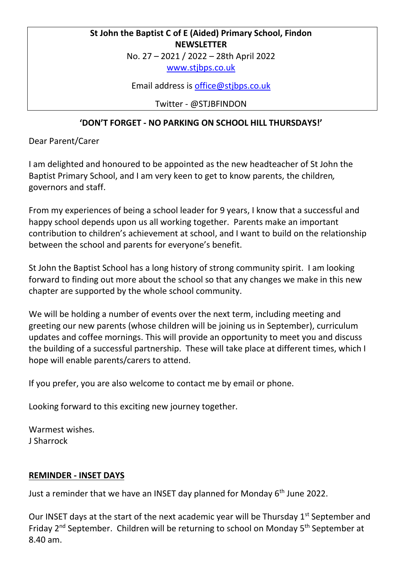## **St John the Baptist C of E (Aided) Primary School, Findon NEWSLETTER**

No. 27 – 2021 / 2022 – 28th April 2022

[www.stjbps.co.uk](http://www.stjbps.co.uk/)

Email address is [office@stjbps.co.uk](mailto:office@stjbps.co.uk)

Twitter - @STJBFINDON

# **'DON'T FORGET - NO PARKING ON SCHOOL HILL THURSDAYS!'**

Dear Parent/Carer

I am delighted and honoured to be appointed as the new headteacher of St John the Baptist Primary School, and I am very keen to get to know parents, the children*,*  governors and staff.

From my experiences of being a school leader for 9 years, I know that a successful and happy school depends upon us all working together. Parents make an important contribution to children's achievement at school, and I want to build on the relationship between the school and parents for everyone's benefit.

St John the Baptist School has a long history of strong community spirit. I am looking forward to finding out more about the school so that any changes we make in this new chapter are supported by the whole school community.

We will be holding a number of events over the next term, including meeting and greeting our new parents (whose children will be joining us in September), curriculum updates and coffee mornings. This will provide an opportunity to meet you and discuss the building of a successful partnership. These will take place at different times, which I hope will enable parents/carers to attend.

If you prefer, you are also welcome to contact me by email or phone.

Looking forward to this exciting new journey together.

Warmest wishes. J Sharrock

### **REMINDER - INSET DAYS**

Just a reminder that we have an INSET day planned for Monday 6<sup>th</sup> June 2022.

Our INSET days at the start of the next academic year will be Thursday  $1<sup>st</sup>$  September and Friday 2nd September. Children will be returning to school on Monday 5th September at 8.40 am.